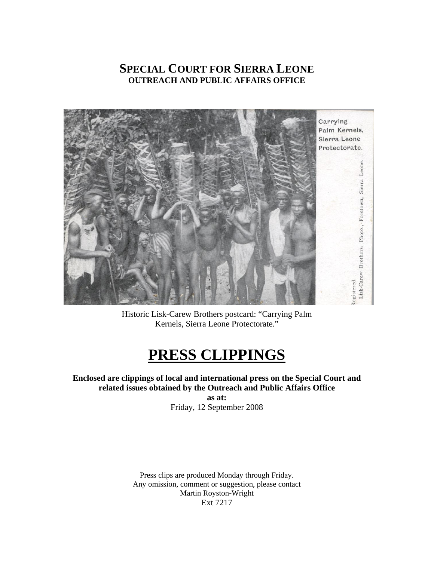## **SPECIAL COURT FOR SIERRA LEONE OUTREACH AND PUBLIC AFFAIRS OFFICE**



Historic Lisk-Carew Brothers postcard: "Carrying Palm Kernels, Sierra Leone Protectorate."

# **PRESS CLIPPINGS**

### **Enclosed are clippings of local and international press on the Special Court and related issues obtained by the Outreach and Public Affairs Office**

**as at:**  Friday, 12 September 2008

Press clips are produced Monday through Friday. Any omission, comment or suggestion, please contact Martin Royston-Wright Ext 7217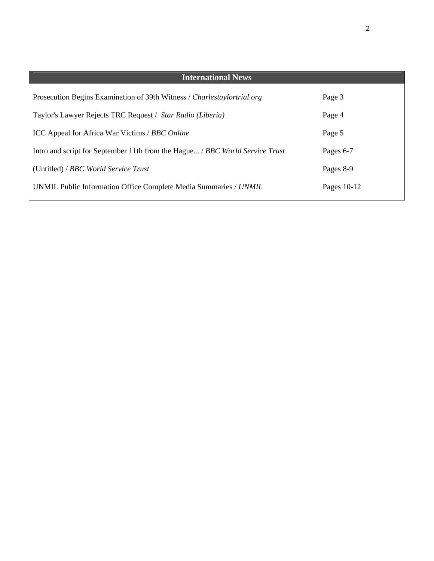| <b>International News</b>                                                    |             |
|------------------------------------------------------------------------------|-------------|
| Prosecution Begins Examination of 39th Witness / Charlestaylortrial.org      | Page 3      |
| Taylor's Lawyer Rejects TRC Request / Star Radio (Liberia)                   | Page 4      |
| ICC Appeal for Africa War Victims / BBC Online                               | Page 5      |
| Intro and script for September 11th from the Hague / BBC World Service Trust | Pages 6-7   |
| (Untitled) / BBC World Service Trust                                         | Pages 8-9   |
| UNMIL Public Information Office Complete Media Summaries / UNMIL             | Pages 10-12 |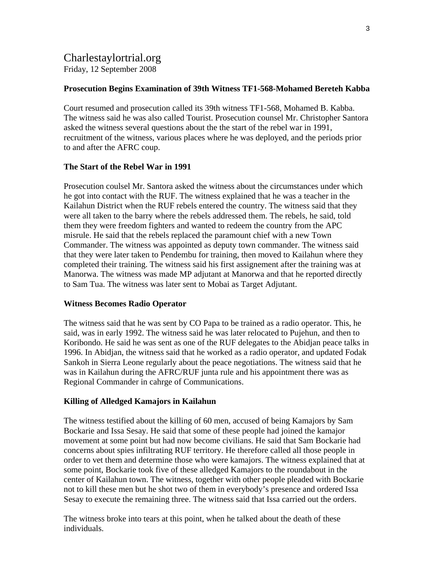### Charlestaylortrial.org Friday, 12 September 2008

### **Prosecution Begins Examination of 39th Witness TF1-568-Mohamed Bereteh Kabba**

Court resumed and prosecution called its 39th witness TF1-568, Mohamed B. Kabba. The witness said he was also called Tourist. Prosecution counsel Mr. Christopher Santora asked the witness several questions about the the start of the rebel war in 1991, recruitment of the witness, various places where he was deployed, and the periods prior to and after the AFRC coup.

### **The Start of the Rebel War in 1991**

Prosecution coulsel Mr. Santora asked the witness about the circumstances under which he got into contact with the RUF. The witness explained that he was a teacher in the Kailahun District when the RUF rebels entered the country. The witness said that they were all taken to the barry where the rebels addressed them. The rebels, he said, told them they were freedom fighters and wanted to redeem the country from the APC misrule. He said that the rebels replaced the paramount chief with a new Town Commander. The witness was appointed as deputy town commander. The witness said that they were later taken to Pendembu for training, then moved to Kailahun where they completed their training. The witness said his first assignement after the training was at Manorwa. The witness was made MP adjutant at Manorwa and that he reported directly to Sam Tua. The witness was later sent to Mobai as Target Adjutant.

#### **Witness Becomes Radio Operator**

The witness said that he was sent by CO Papa to be trained as a radio operator. This, he said, was in early 1992. The witness said he was later relocated to Pujehun, and then to Koribondo. He said he was sent as one of the RUF delegates to the Abidjan peace talks in 1996. In Abidjan, the witness said that he worked as a radio operator, and updated Fodak Sankoh in Sierra Leone regularly about the peace negotiations. The witness said that he was in Kailahun during the AFRC/RUF junta rule and his appointment there was as Regional Commander in cahrge of Communications.

### **Killing of Alledged Kamajors in Kailahun**

The witness testified about the killing of 60 men, accused of being Kamajors by Sam Bockarie and Issa Sesay. He said that some of these people had joined the kamajor movement at some point but had now become civilians. He said that Sam Bockarie had concerns about spies infiltrating RUF territory. He therefore called all those people in order to vet them and determine those who were kamajors. The witness explained that at some point, Bockarie took five of these alledged Kamajors to the roundabout in the center of Kailahun town. The witness, together with other people pleaded with Bockarie not to kill these men but he shot two of them in everybody's presence and ordered Issa Sesay to execute the remaining three. The witness said that Issa carried out the orders.

The witness broke into tears at this point, when he talked about the death of these individuals.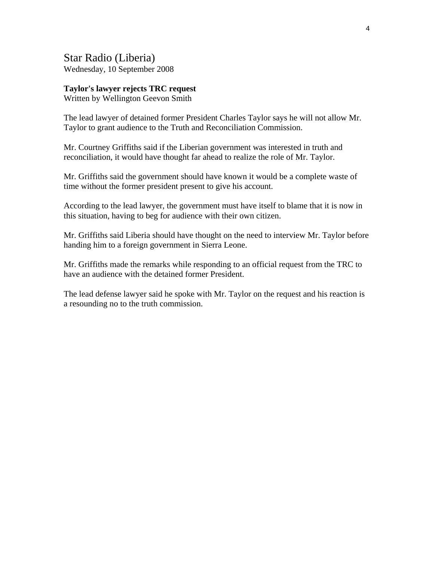Star Radio (Liberia) Wednesday, 10 September 2008

### **Taylor's lawyer rejects TRC request**

Written by Wellington Geevon Smith

The lead lawyer of detained former President Charles Taylor says he will not allow Mr. Taylor to grant audience to the Truth and Reconciliation Commission.

Mr. Courtney Griffiths said if the Liberian government was interested in truth and reconciliation, it would have thought far ahead to realize the role of Mr. Taylor.

Mr. Griffiths said the government should have known it would be a complete waste of time without the former president present to give his account.

According to the lead lawyer, the government must have itself to blame that it is now in this situation, having to beg for audience with their own citizen.

Mr. Griffiths said Liberia should have thought on the need to interview Mr. Taylor before handing him to a foreign government in Sierra Leone.

Mr. Griffiths made the remarks while responding to an official request from the TRC to have an audience with the detained former President.

The lead defense lawyer said he spoke with Mr. Taylor on the request and his reaction is a resounding no to the truth commission.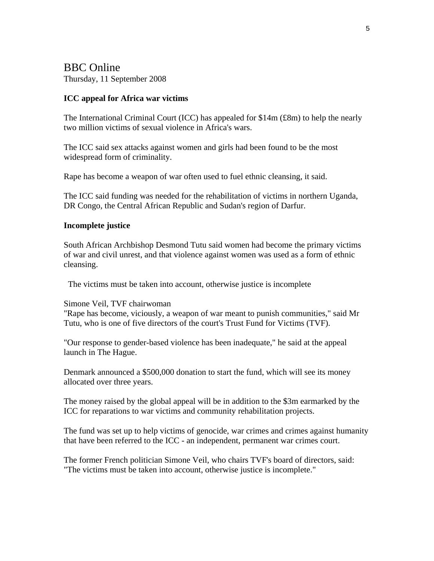# BBC Online

Thursday, 11 September 2008

### **ICC appeal for Africa war victims**

The International Criminal Court (ICC) has appealed for \$14m (£8m) to help the nearly two million victims of sexual violence in Africa's wars.

The ICC said sex attacks against women and girls had been found to be the most widespread form of criminality.

Rape has become a weapon of war often used to fuel ethnic cleansing, it said.

The ICC said funding was needed for the rehabilitation of victims in northern Uganda, DR Congo, the Central African Republic and Sudan's region of Darfur.

### **Incomplete justice**

South African Archbishop Desmond Tutu said women had become the primary victims of war and civil unrest, and that violence against women was used as a form of ethnic cleansing.

The victims must be taken into account, otherwise justice is incomplete

Simone Veil, TVF chairwoman

"Rape has become, viciously, a weapon of war meant to punish communities," said Mr Tutu, who is one of five directors of the court's Trust Fund for Victims (TVF).

"Our response to gender-based violence has been inadequate," he said at the appeal launch in The Hague.

Denmark announced a \$500,000 donation to start the fund, which will see its money allocated over three years.

The money raised by the global appeal will be in addition to the \$3m earmarked by the ICC for reparations to war victims and community rehabilitation projects.

The fund was set up to help victims of genocide, war crimes and crimes against humanity that have been referred to the ICC - an independent, permanent war crimes court.

The former French politician Simone Veil, who chairs TVF's board of directors, said: "The victims must be taken into account, otherwise justice is incomplete."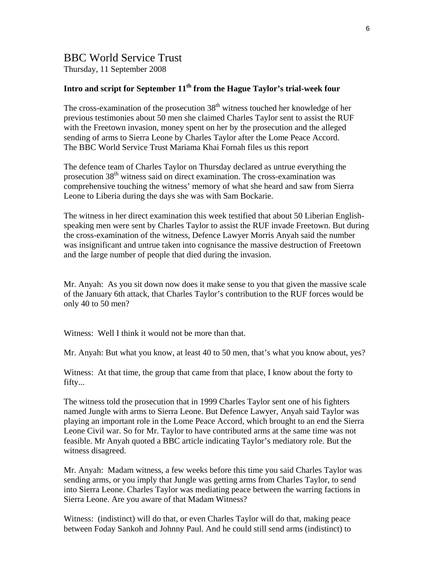### BBC World Service Trust

Thursday, 11 September 2008

### Intro and script for September 11<sup>th</sup> from the Hague Taylor's trial-week four

The cross-examination of the prosecution  $38<sup>th</sup>$  witness touched her knowledge of her previous testimonies about 50 men she claimed Charles Taylor sent to assist the RUF with the Freetown invasion, money spent on her by the prosecution and the alleged sending of arms to Sierra Leone by Charles Taylor after the Lome Peace Accord. The BBC World Service Trust Mariama Khai Fornah files us this report

The defence team of Charles Taylor on Thursday declared as untrue everything the prosecution 38<sup>th</sup> witness said on direct examination. The cross-examination was comprehensive touching the witness' memory of what she heard and saw from Sierra Leone to Liberia during the days she was with Sam Bockarie.

The witness in her direct examination this week testified that about 50 Liberian Englishspeaking men were sent by Charles Taylor to assist the RUF invade Freetown. But during the cross-examination of the witness, Defence Lawyer Morris Anyah said the number was insignificant and untrue taken into cognisance the massive destruction of Freetown and the large number of people that died during the invasion.

Mr. Anyah: As you sit down now does it make sense to you that given the massive scale of the January 6th attack, that Charles Taylor's contribution to the RUF forces would be only 40 to 50 men?

Witness: Well I think it would not be more than that.

Mr. Anyah: But what you know, at least 40 to 50 men, that's what you know about, yes?

Witness: At that time, the group that came from that place, I know about the forty to fifty...

The witness told the prosecution that in 1999 Charles Taylor sent one of his fighters named Jungle with arms to Sierra Leone. But Defence Lawyer, Anyah said Taylor was playing an important role in the Lome Peace Accord, which brought to an end the Sierra Leone Civil war. So for Mr. Taylor to have contributed arms at the same time was not feasible. Mr Anyah quoted a BBC article indicating Taylor's mediatory role. But the witness disagreed.

Mr. Anyah: Madam witness, a few weeks before this time you said Charles Taylor was sending arms, or you imply that Jungle was getting arms from Charles Taylor, to send into Sierra Leone. Charles Taylor was mediating peace between the warring factions in Sierra Leone. Are you aware of that Madam Witness?

Witness: (indistinct) will do that, or even Charles Taylor will do that, making peace between Foday Sankoh and Johnny Paul. And he could still send arms (indistinct) to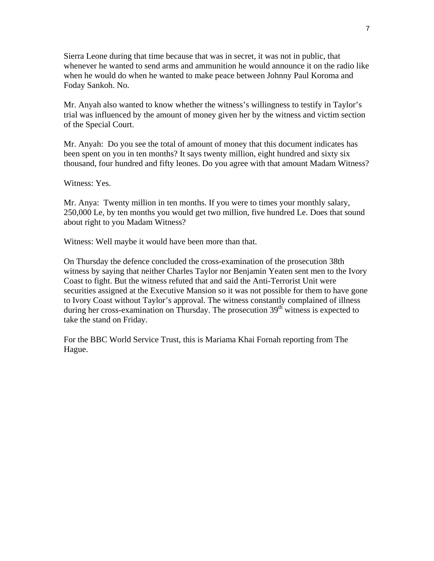Sierra Leone during that time because that was in secret, it was not in public, that whenever he wanted to send arms and ammunition he would announce it on the radio like when he would do when he wanted to make peace between Johnny Paul Koroma and Foday Sankoh. No.

Mr. Anyah also wanted to know whether the witness's willingness to testify in Taylor's trial was influenced by the amount of money given her by the witness and victim section of the Special Court.

Mr. Anyah: Do you see the total of amount of money that this document indicates has been spent on you in ten months? It says twenty million, eight hundred and sixty six thousand, four hundred and fifty leones. Do you agree with that amount Madam Witness?

Witness: Yes.

Mr. Anya: Twenty million in ten months. If you were to times your monthly salary, 250,000 Le, by ten months you would get two million, five hundred Le. Does that sound about right to you Madam Witness?

Witness: Well maybe it would have been more than that.

On Thursday the defence concluded the cross-examination of the prosecution 38th witness by saying that neither Charles Taylor nor Benjamin Yeaten sent men to the Ivory Coast to fight. But the witness refuted that and said the Anti-Terrorist Unit were securities assigned at the Executive Mansion so it was not possible for them to have gone to Ivory Coast without Taylor's approval. The witness constantly complained of illness during her cross-examination on Thursday. The prosecution  $39<sup>th</sup>$  witness is expected to take the stand on Friday.

For the BBC World Service Trust, this is Mariama Khai Fornah reporting from The Hague.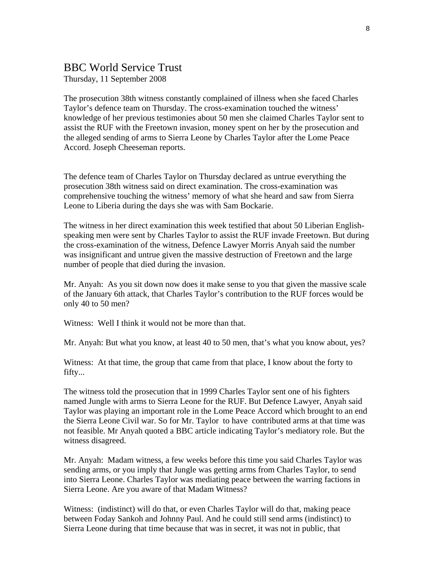### BBC World Service Trust

Thursday, 11 September 2008

The prosecution 38th witness constantly complained of illness when she faced Charles Taylor's defence team on Thursday. The cross-examination touched the witness' knowledge of her previous testimonies about 50 men she claimed Charles Taylor sent to assist the RUF with the Freetown invasion, money spent on her by the prosecution and the alleged sending of arms to Sierra Leone by Charles Taylor after the Lome Peace Accord. Joseph Cheeseman reports.

The defence team of Charles Taylor on Thursday declared as untrue everything the prosecution 38th witness said on direct examination. The cross-examination was comprehensive touching the witness' memory of what she heard and saw from Sierra Leone to Liberia during the days she was with Sam Bockarie.

The witness in her direct examination this week testified that about 50 Liberian Englishspeaking men were sent by Charles Taylor to assist the RUF invade Freetown. But during the cross-examination of the witness, Defence Lawyer Morris Anyah said the number was insignificant and untrue given the massive destruction of Freetown and the large number of people that died during the invasion.

Mr. Anyah: As you sit down now does it make sense to you that given the massive scale of the January 6th attack, that Charles Taylor's contribution to the RUF forces would be only 40 to 50 men?

Witness: Well I think it would not be more than that.

Mr. Anyah: But what you know, at least 40 to 50 men, that's what you know about, yes?

Witness: At that time, the group that came from that place, I know about the forty to fifty...

The witness told the prosecution that in 1999 Charles Taylor sent one of his fighters named Jungle with arms to Sierra Leone for the RUF. But Defence Lawyer, Anyah said Taylor was playing an important role in the Lome Peace Accord which brought to an end the Sierra Leone Civil war. So for Mr. Taylor to have contributed arms at that time was not feasible. Mr Anyah quoted a BBC article indicating Taylor's mediatory role. But the witness disagreed.

Mr. Anyah: Madam witness, a few weeks before this time you said Charles Taylor was sending arms, or you imply that Jungle was getting arms from Charles Taylor, to send into Sierra Leone. Charles Taylor was mediating peace between the warring factions in Sierra Leone. Are you aware of that Madam Witness?

Witness: (indistinct) will do that, or even Charles Taylor will do that, making peace between Foday Sankoh and Johnny Paul. And he could still send arms (indistinct) to Sierra Leone during that time because that was in secret, it was not in public, that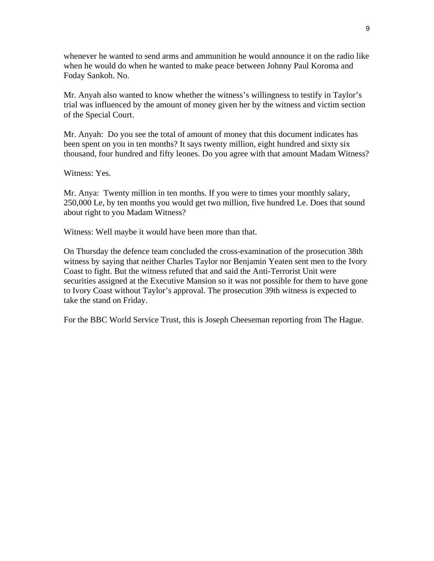whenever he wanted to send arms and ammunition he would announce it on the radio like when he would do when he wanted to make peace between Johnny Paul Koroma and Foday Sankoh. No.

Mr. Anyah also wanted to know whether the witness's willingness to testify in Taylor's trial was influenced by the amount of money given her by the witness and victim section of the Special Court.

Mr. Anyah: Do you see the total of amount of money that this document indicates has been spent on you in ten months? It says twenty million, eight hundred and sixty six thousand, four hundred and fifty leones. Do you agree with that amount Madam Witness?

Witness: Yes.

Mr. Anya: Twenty million in ten months. If you were to times your monthly salary, 250,000 Le, by ten months you would get two million, five hundred Le. Does that sound about right to you Madam Witness?

Witness: Well maybe it would have been more than that.

On Thursday the defence team concluded the cross-examination of the prosecution 38th witness by saying that neither Charles Taylor nor Benjamin Yeaten sent men to the Ivory Coast to fight. But the witness refuted that and said the Anti-Terrorist Unit were securities assigned at the Executive Mansion so it was not possible for them to have gone to Ivory Coast without Taylor's approval. The prosecution 39th witness is expected to take the stand on Friday.

For the BBC World Service Trust, this is Joseph Cheeseman reporting from The Hague.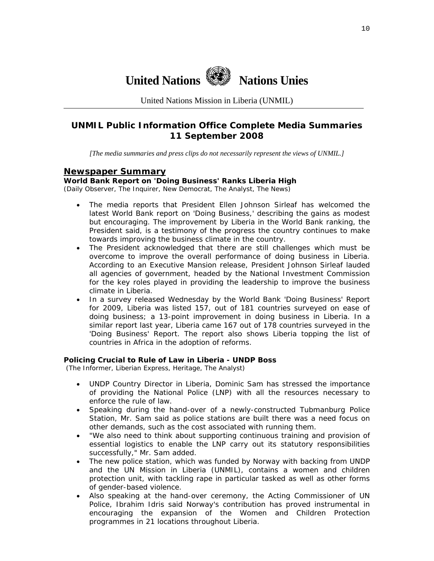

United Nations Mission in Liberia (UNMIL)

### **UNMIL Public Information Office Complete Media Summaries 11 September 2008**

*[The media summaries and press clips do not necessarily represent the views of UNMIL.]* 

### **Newspaper Summary**

#### **World Bank Report on 'Doing Business' Ranks Liberia High**

(Daily Observer, The Inquirer, New Democrat, The Analyst, The News)

- The media reports that President Ellen Johnson Sirleaf has welcomed the latest World Bank report on 'Doing Business,' describing the gains as modest but encouraging. The improvement by Liberia in the World Bank ranking, the President said, is a testimony of the progress the country continues to make towards improving the business climate in the country.
- The President acknowledged that there are still challenges which must be overcome to improve the overall performance of doing business in Liberia. According to an Executive Mansion release, President Johnson Sirleaf lauded all agencies of government, headed by the National Investment Commission for the key roles played in providing the leadership to improve the business climate in Liberia.
- In a survey released Wednesday by the World Bank 'Doing Business' Report for 2009, Liberia was listed 157, out of 181 countries surveyed on ease of doing business; a 13-point improvement in doing business in Liberia. In a similar report last year, Liberia came 167 out of 178 countries surveyed in the 'Doing Business' Report. The report also shows Liberia topping the list of countries in Africa in the adoption of reforms.

#### **Policing Crucial to Rule of Law in Liberia - UNDP Boss**

(The Informer, Liberian Express, Heritage, The Analyst)

- UNDP Country Director in Liberia, Dominic Sam has stressed the importance of providing the National Police (LNP) with all the resources necessary to enforce the rule of law.
- Speaking during the hand-over of a newly-constructed Tubmanburg Police Station, Mr. Sam said as police stations are built there was a need focus on other demands, such as the cost associated with running them.
- "We also need to think about supporting continuous training and provision of essential logistics to enable the LNP carry out its statutory responsibilities successfully," Mr. Sam added.
- The new police station, which was funded by Norway with backing from UNDP and the UN Mission in Liberia (UNMIL), contains a women and children protection unit, with tackling rape in particular tasked as well as other forms of gender-based violence.
- Also speaking at the hand-over ceremony, the Acting Commissioner of UN Police, Ibrahim Idris said Norway's contribution has proved instrumental in encouraging the expansion of the Women and Children Protection programmes in 21 locations throughout Liberia.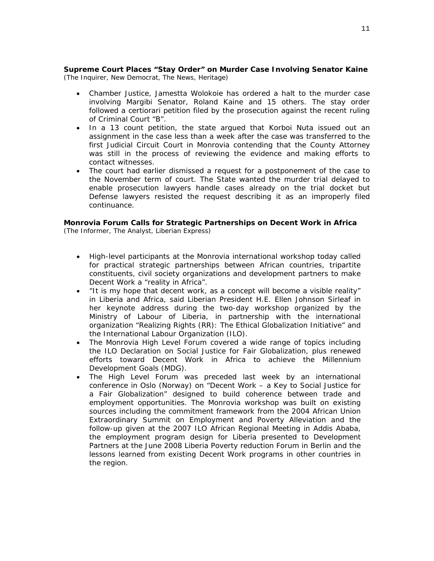#### **Supreme Court Places "Stay Order" on Murder Case Involving Senator Kaine**  (The Inquirer, New Democrat, The News, Heritage)

- Chamber Justice, Jamestta Wolokoie has ordered a halt to the murder case involving Margibi Senator, Roland Kaine and 15 others. The stay order followed a certiorari petition filed by the prosecution against the recent ruling of Criminal Court "B".
- In a 13 count petition, the state argued that Korboi Nuta issued out an assignment in the case less than a week after the case was transferred to the first Judicial Circuit Court in Monrovia contending that the County Attorney was still in the process of reviewing the evidence and making efforts to contact witnesses.
- The court had earlier dismissed a request for a postponement of the case to the November term of court. The State wanted the murder trial delayed to enable prosecution lawyers handle cases already on the trial docket but Defense lawyers resisted the request describing it as an improperly filed continuance.

#### **Monrovia Forum Calls for Strategic Partnerships on Decent Work in Africa**  (The Informer, The Analyst, Liberian Express)

- High-level participants at the Monrovia international workshop today called for practical strategic partnerships between African countries, tripartite constituents, civil society organizations and development partners to make Decent Work a "reality in Africa".
- "It is my hope that decent work, as a concept will become a visible reality" in Liberia and Africa, said Liberian President H.E. Ellen Johnson Sirleaf in her keynote address during the two-day workshop organized by the Ministry of Labour of Liberia, in partnership with the international organization "Realizing Rights (RR): The Ethical Globalization Initiative" and the International Labour Organization (ILO).
- The Monrovia High Level Forum covered a wide range of topics including the ILO Declaration on Social Justice for Fair Globalization, plus renewed efforts toward Decent Work in Africa to achieve the Millennium Development Goals (MDG).
- The High Level Forum was preceded last week by an international conference in Oslo (Norway) on "Decent Work – a Key to Social Justice for a Fair Globalization" designed to build coherence between trade and employment opportunities. The Monrovia workshop was built on existing sources including the commitment framework from the 2004 African Union Extraordinary Summit on Employment and Poverty Alleviation and the follow-up given at the 2007 ILO African Regional Meeting in Addis Ababa, the employment program design for Liberia presented to Development Partners at the June 2008 Liberia Poverty reduction Forum in Berlin and the lessons learned from existing Decent Work programs in other countries in the region.